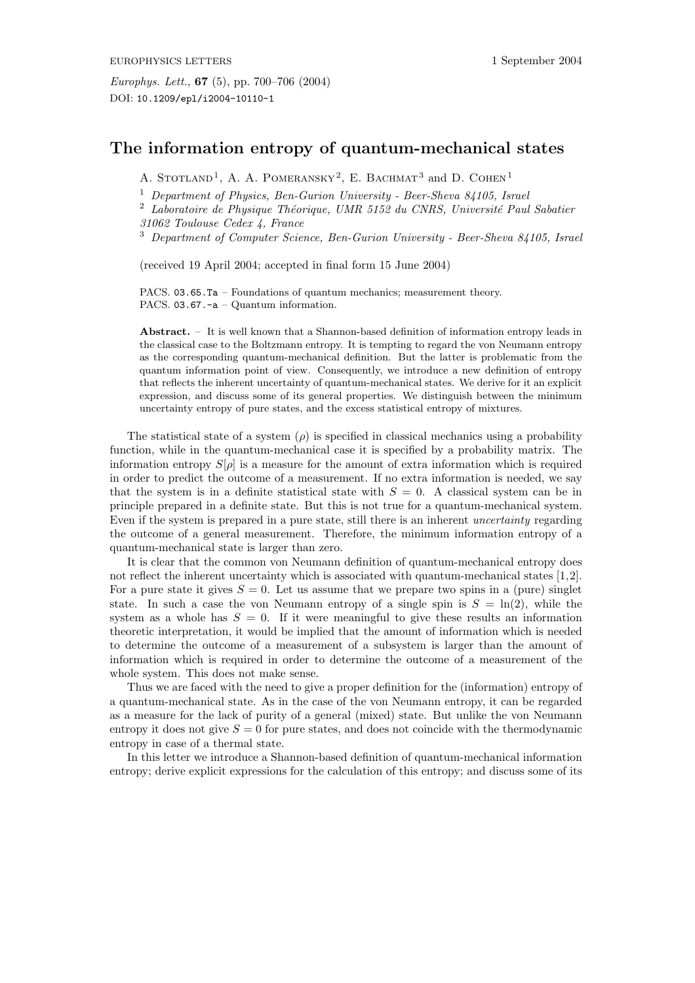## **The information entropy of quantum-mechanical states**

A. STOTLAND<sup>1</sup>, A. A. POMERANSKY<sup>2</sup>, E. BACHMAT<sup>3</sup> and D. COHEN<sup>1</sup>

<sup>1</sup> *Department of Physics, Ben-Gurion University - Beer-Sheva 84105, Israel*

<sup>2</sup> Laboratoire de Physique Théorique, UMR 5152 du CNRS, Université Paul Sabatier

*31062 Toulouse Cedex 4, France*

<sup>3</sup> *Department of Computer Science, Ben-Gurion University - Beer-Sheva 84105, Israel*

(received 19 April 2004; accepted in final form 15 June 2004)

PACS. 03.65.Ta – Foundations of quantum mechanics; measurement theory. PACS. 03.67.-a - Quantum information.

**Abstract.** – It is well known that a Shannon-based definition of information entropy leads in the classical case to the Boltzmann entropy. It is tempting to regard the von Neumann entropy as the corresponding quantum-mechanical definition. But the latter is problematic from the quantum information point of view. Consequently, we introduce a new definition of entropy that reflects the inherent uncertainty of quantum-mechanical states. We derive for it an explicit expression, and discuss some of its general properties. We distinguish between the minimum uncertainty entropy of pure states, and the excess statistical entropy of mixtures.

The statistical state of a system  $(\rho)$  is specified in classical mechanics using a probability function, while in the quantum-mechanical case it is specified by a probability matrix. The information entropy  $S[\rho]$  is a measure for the amount of extra information which is required in order to predict the outcome of a measurement. If no extra information is needed, we say that the system is in a definite statistical state with  $S = 0$ . A classical system can be in principle prepared in a definite state. But this is not true for a quantum-mechanical system. Even if the system is prepared in a pure state, still there is an inherent *uncertainty* regarding the outcome of a general measurement. Therefore, the minimum information entropy of a quantum-mechanical state is larger than zero.

It is clear that the common von Neumann definition of quantum-mechanical entropy does not reflect the inherent uncertainty which is associated with quantum-mechanical states [1,2]. For a pure state it gives  $S = 0$ . Let us assume that we prepare two spins in a (pure) singlet state. In such a case the von Neumann entropy of a single spin is  $S = \ln(2)$ , while the system as a whole has  $S = 0$ . If it were meaningful to give these results an information theoretic interpretation, it would be implied that the amount of information which is needed to determine the outcome of a measurement of a subsystem is larger than the amount of information which is required in order to determine the outcome of a measurement of the whole system. This does not make sense.

Thus we are faced with the need to give a proper definition for the (information) entropy of a quantum-mechanical state. As in the case of the von Neumann entropy, it can be regarded as a measure for the lack of purity of a general (mixed) state. But unlike the von Neumann entropy it does not give  $S = 0$  for pure states, and does not coincide with the thermodynamic entropy in case of a thermal state.

In this letter we introduce a Shannon-based definition of quantum-mechanical information entropy; derive explicit expressions for the calculation of this entropy; and discuss some of its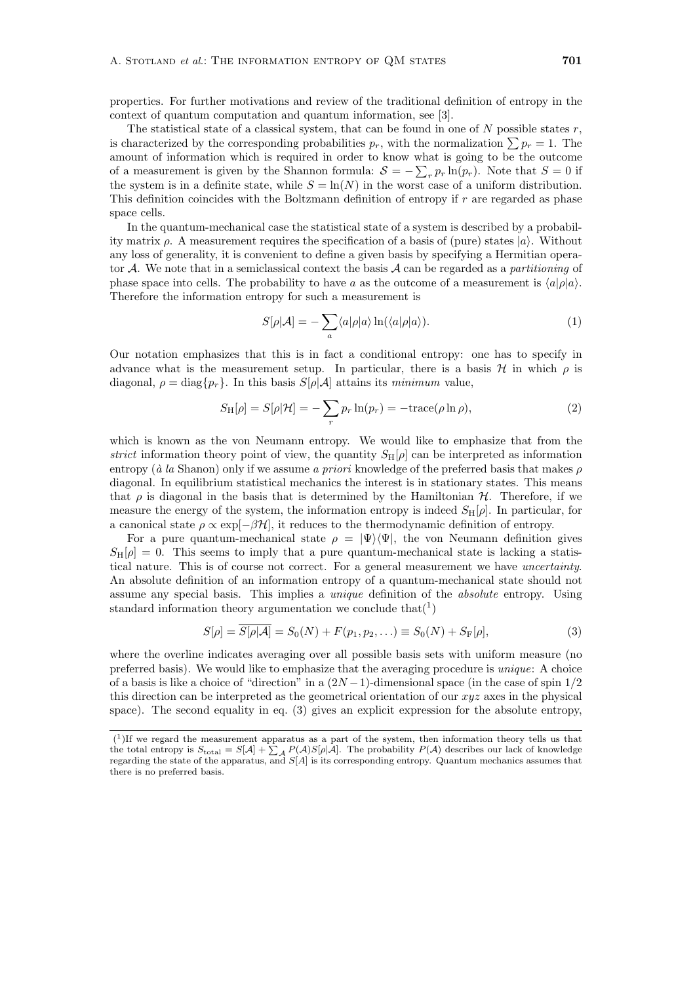properties. For further motivations and review of the traditional definition of entropy in the context of quantum computation and quantum information, see [3].

The statistical state of a classical system, that can be found in one of  $N$  possible states  $r$ , is characterized by the corresponding probabilities  $p_r$ , with the normalization  $\sum p_r = 1$ . The amount of information which is required in order to know what is going to be the outcome of a measurement is given by the Shannon formula:  $S = -\sum_{r} p_r \ln(p_r)$ . Note that  $S = 0$  if<br>the system is in a definite state, while  $S = \ln(N)$  in the worst case of a uniform distribution the system is in a definite state, while  $S = \ln(N)$  in the worst case of a uniform distribution. This definition coincides with the Boltzmann definition of entropy if r are regarded as phase space cells.

In the quantum-mechanical case the statistical state of a system is described by a probability matrix  $\rho$ . A measurement requires the specification of a basis of (pure) states  $|a\rangle$ . Without any loss of generality, it is convenient to define a given basis by specifying a Hermitian operator A. We note that in a semiclassical context the basis A can be regarded as a *partitioning* of phase space into cells. The probability to have a as the outcome of a measurement is  $\langle a|\rho|a\rangle$ . Therefore the information entropy for such a measurement is

$$
S[\rho|\mathcal{A}] = -\sum_{a} \langle a|\rho|a\rangle \ln(\langle a|\rho|a\rangle). \tag{1}
$$

Our notation emphasizes that this is in fact a conditional entropy: one has to specify in advance what is the measurement setup. In particular, there is a basis  $\mathcal H$  in which  $\rho$  is diagonal,  $\rho = \text{diag}\{p_r\}$ . In this basis  $S[\rho | A]$  attains its *minimum* value,

$$
S_{\mathrm{H}}[\rho] = S[\rho|\mathcal{H}] = -\sum_{r} p_r \ln(p_r) = -\mathrm{trace}(\rho \ln \rho), \tag{2}
$$

which is known as the von Neumann entropy. We would like to emphasize that from the *strict* information theory point of view, the quantity  $S_H[\rho]$  can be interpreted as information entropy ( $\dot{a}$  *la* Shanon) only if we assume *a priori* knowledge of the preferred basis that makes  $\rho$ diagonal. In equilibrium statistical mechanics the interest is in stationary states. This means that  $\rho$  is diagonal in the basis that is determined by the Hamiltonian  $H$ . Therefore, if we measure the energy of the system, the information entropy is indeed  $S_H[\rho]$ . In particular, for a canonical state  $\rho \propto \exp[-\beta \mathcal{H}]$ , it reduces to the thermodynamic definition of entropy.

For a pure quantum-mechanical state  $\rho = |\Psi\rangle \langle \Psi|$ , the von Neumann definition gives  $S_H[\rho] = 0$ . This seems to imply that a pure quantum-mechanical state is lacking a statistical nature. This is of course not correct. For a general measurement we have *uncertainty*. An absolute definition of an information entropy of a quantum-mechanical state should not assume any special basis. This implies a *unique* definition of the *absolute* entropy. Using standard information theory argumentation we conclude that  $(1)$ 

$$
S[\rho] = \overline{S[\rho|\mathcal{A}]} = S_0(N) + F(p_1, p_2, \ldots) \equiv S_0(N) + S_{\mathcal{F}}[\rho],
$$
\n(3)

where the overline indicates averaging over all possible basis sets with uniform measure (no preferred basis). We would like to emphasize that the averaging procedure is *unique*: A choice of a basis is like a choice of "direction" in a  $(2N-1)$ -dimensional space (in the case of spin  $1/2$ this direction can be interpreted as the geometrical orientation of our  $xyz$  axes in the physical space). The second equality in eq. (3) gives an explicit expression for the absolute entropy,

 $(1)$ If we regard the measurement apparatus as a part of the system, then information theory tells us that the total entropy is  $S_{total} = S[A] + \sum_{A} P(A)S[\rho|A]$ . The probability  $P(A)$  describes our lack of knowledge regarding the state of the apparatus, and S[A] is its corresponding entropy. Quantum mechanics assumes that there is no preferred basis.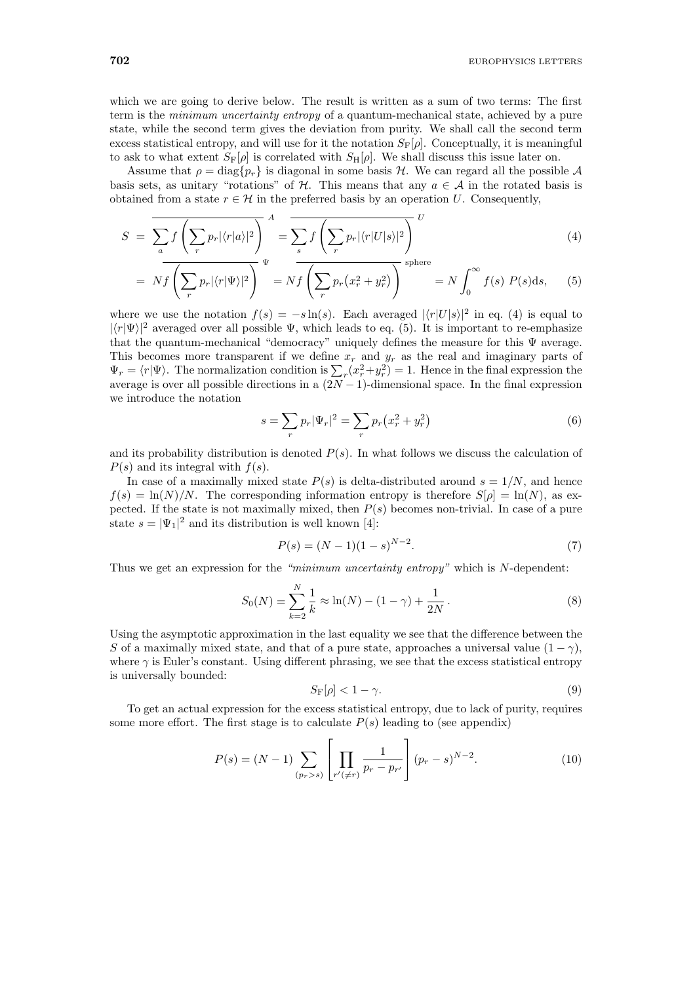which we are going to derive below. The result is written as a sum of two terms: The first term is the *minimum uncertainty entropy* of a quantum-mechanical state, achieved by a pure state, while the second term gives the deviation from purity. We shall call the second term excess statistical entropy, and will use for it the notation  $S_F[\rho]$ . Conceptually, it is meaningful to ask to what extent  $S_{\text{F}}[\rho]$  is correlated with  $S_{\text{H}}[\rho]$ . We shall discuss this issue later on.

Assume that  $\rho = \text{diag}\{p_r\}$  is diagonal in some basis H. We can regard all the possible A basis sets, as unitary "rotations" of H. This means that any  $a \in \mathcal{A}$  in the rotated basis is obtained from a state  $r \in \mathcal{H}$  in the preferred basis by an operation U. Consequently,

$$
S = \overline{\sum_{a} f\left(\sum_{r} p_r |\langle r|a\rangle|^2\right)}_{\text{max}}^{A} = \overline{\sum_{s} f\left(\sum_{r} p_r |\langle r|U|s\rangle|^2\right)}_{\text{sphere}}^{U}
$$
(4)

$$
= Nf\left(\sum_{r} p_r |\langle r|\Psi\rangle|^2\right)^{\Psi} = Nf\left(\sum_{r} p_r (x_r^2 + y_r^2)\right)^{\text{sphere}} = N \int_0^\infty f(s) P(s) \, ds,\tag{5}
$$

where we use the notation  $f(s) = -s \ln(s)$ . Each averaged  $|\langle r|U|s\rangle|^2$  in eq. (4) is equal to  $|\langle r|\Psi\rangle|^2$  averaged over all possible  $\Psi$ , which leads to eq. (5). It is important to re-emphasize that the quantum-mechanical "democracy" uniquely defines the measure for this  $\Psi$  average. This becomes more transparent if we define  $x_r$  and  $y_r$  as the real and imaginary parts of  $\Psi_r = \langle r | \Psi \rangle$ . The normalization condition is  $\sum_r (x_r^2 + y_r^2) = 1$ . Hence in the final expression the average is over all possible directions in a  $(2N-1)$ -dimensional space. In the final expression average is over all possible directions in a  $(2N-1)$ -dimensional space. In the final expression we introduce the notation

$$
s = \sum_{r} p_r |\Psi_r|^2 = \sum_{r} p_r (x_r^2 + y_r^2)
$$
 (6)

and its probability distribution is denoted  $P(s)$ . In what follows we discuss the calculation of  $P(s)$  and its integral with  $f(s)$ .

In case of a maximally mixed state  $P(s)$  is delta-distributed around  $s = 1/N$ , and hence  $f(s) = \ln(N)/N$ . The corresponding information entropy is therefore  $S[\rho] = \ln(N)$ , as expected. If the state is not maximally mixed, then  $P(s)$  becomes non-trivial. In case of a pure state  $s = |\Psi_1|^2$  and its distribution is well known [4]:

$$
P(s) = (N-1)(1-s)^{N-2}.
$$
\n(7)

Thus we get an expression for the *"minimum uncertainty entropy"* which is N-dependent:

$$
S_0(N) = \sum_{k=2}^{N} \frac{1}{k} \approx \ln(N) - (1 - \gamma) + \frac{1}{2N}.
$$
 (8)

Using the asymptotic approximation in the last equality we see that the difference between the S of a maximally mixed state, and that of a pure state, approaches a universal value  $(1 - \gamma)$ , where  $\gamma$  is Euler's constant. Using different phrasing, we see that the excess statistical entropy is universally bounded:

$$
S_{\mathcal{F}}[\rho] < 1 - \gamma. \tag{9}
$$

To get an actual expression for the excess statistical entropy, due to lack of purity, requires some more effort. The first stage is to calculate  $P(s)$  leading to (see appendix)

$$
P(s) = (N-1) \sum_{(p_r > s)} \left[ \prod_{r'(\neq r)} \frac{1}{p_r - p_{r'}} \right] (p_r - s)^{N-2}.
$$
 (10)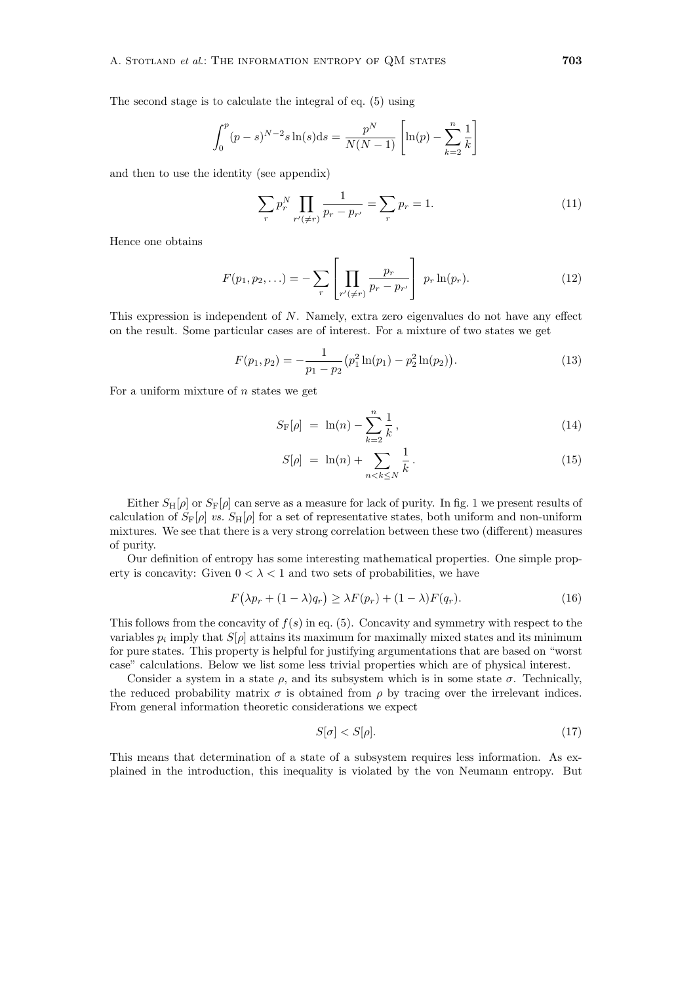The second stage is to calculate the integral of eq. (5) using

$$
\int_0^p (p-s)^{N-2} s \ln(s) ds = \frac{p^N}{N(N-1)} \left[ \ln(p) - \sum_{k=2}^n \frac{1}{k} \right]
$$

and then to use the identity (see appendix)

$$
\sum_{r} p_r^N \prod_{r' \neq r} \frac{1}{p_r - p_{r'}} = \sum_{r} p_r = 1.
$$
 (11)

Hence one obtains

$$
F(p_1, p_2, \ldots) = -\sum_{r} \left[ \prod_{r' \in r} \frac{p_r}{p_r - p_{r'}} \right] p_r \ln(p_r).
$$
 (12)

This expression is independent of N. Namely, extra zero eigenvalues do not have any effect on the result. Some particular cases are of interest. For a mixture of two states we get

$$
F(p_1, p_2) = -\frac{1}{p_1 - p_2} (p_1^2 \ln(p_1) - p_2^2 \ln(p_2)).
$$
\n(13)

For a uniform mixture of  $n$  states we get

$$
S_{\mathcal{F}}[\rho] = \ln(n) - \sum_{k=2}^{n} \frac{1}{k}, \qquad (14)
$$

$$
S[\rho] = \ln(n) + \sum_{n < k \le N} \frac{1}{k} \,. \tag{15}
$$

Either  $S_H[\rho]$  or  $S_F[\rho]$  can serve as a measure for lack of purity. In fig. 1 we present results of calculation of  $S_{\rm F}[\rho]$  *vs.*  $S_{\rm H}[\rho]$  for a set of representative states, both uniform and non-uniform mixtures. We see that there is a very strong correlation between these two (different) measures of purity.

Our definition of entropy has some interesting mathematical properties. One simple property is concavity: Given  $0 < \lambda < 1$  and two sets of probabilities, we have

$$
F(\lambda p_r + (1 - \lambda)q_r) \ge \lambda F(p_r) + (1 - \lambda)F(q_r). \tag{16}
$$

This follows from the concavity of  $f(s)$  in eq. (5). Concavity and symmetry with respect to the variables  $p_i$  imply that  $S[\rho]$  attains its maximum for maximally mixed states and its minimum for pure states. This property is helpful for justifying argumentations that are based on "worst case" calculations. Below we list some less trivial properties which are of physical interest.

Consider a system in a state  $\rho$ , and its subsystem which is in some state  $\sigma$ . Technically, the reduced probability matrix  $\sigma$  is obtained from  $\rho$  by tracing over the irrelevant indices. From general information theoretic considerations we expect

$$
S[\sigma] < S[\rho].\tag{17}
$$

This means that determination of a state of a subsystem requires less information. As explained in the introduction, this inequality is violated by the von Neumann entropy. But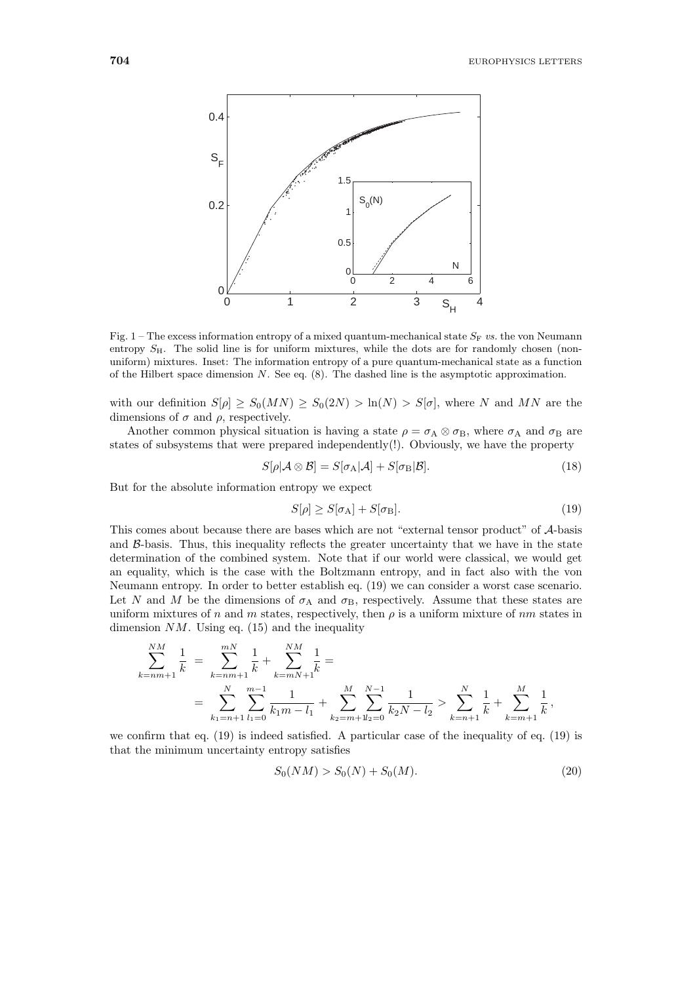

Fig.  $1$  – The excess information entropy of a mixed quantum-mechanical state  $S_F$  *vs.* the von Neumann entropy  $S_H$ . The solid line is for uniform mixtures, while the dots are for randomly chosen (nonuniform) mixtures. Inset: The information entropy of a pure quantum-mechanical state as a function of the Hilbert space dimension *N*. See eq. (8). The dashed line is the asymptotic approximation.

with our definition  $S[\rho] \geq S_0(MN) \geq S_0(2N) > \ln(N) > S[\sigma]$ , where N and MN are the dimensions of  $\sigma$  and  $\rho$ , respectively.

Another common physical situation is having a state  $\rho = \sigma_A \otimes \sigma_B$ , where  $\sigma_A$  and  $\sigma_B$  are states of subsystems that were prepared independently(!). Obviously, we have the property

$$
S[\rho|\mathcal{A}\otimes\mathcal{B}] = S[\sigma_{\mathcal{A}}|\mathcal{A}] + S[\sigma_{\mathcal{B}}|\mathcal{B}].
$$
\n(18)

But for the absolute information entropy we expect

$$
S[\rho] \ge S[\sigma_{\rm A}] + S[\sigma_{\rm B}]. \tag{19}
$$

This comes about because there are bases which are not "external tensor product" of A-basis and  $\beta$ -basis. Thus, this inequality reflects the greater uncertainty that we have in the state determination of the combined system. Note that if our world were classical, we would get an equality, which is the case with the Boltzmann entropy, and in fact also with the von Neumann entropy. In order to better establish eq. (19) we can consider a worst case scenario. Let N and M be the dimensions of  $\sigma_A$  and  $\sigma_B$ , respectively. Assume that these states are uniform mixtures of n and m states, respectively, then  $\rho$  is a uniform mixture of nm states in dimension  $NM$ . Using eq. (15) and the inequality

$$
\sum_{k=nm+1}^{NM} \frac{1}{k} = \sum_{k=nm+1}^{m} \frac{1}{k} + \sum_{k=mn+1}^{NM} \frac{1}{k} =
$$
\n
$$
= \sum_{k_1=n+1}^{N} \sum_{l_1=0}^{m-1} \frac{1}{k_1m-l_1} + \sum_{k_2=m+1}^{M} \sum_{l_2=0}^{N-1} \frac{1}{k_2N-l_2} > \sum_{k=n+1}^{N} \frac{1}{k} + \sum_{k=m+1}^{M} \frac{1}{k},
$$

we confirm that eq. (19) is indeed satisfied. A particular case of the inequality of eq. (19) is that the minimum uncertainty entropy satisfies

$$
S_0(NM) > S_0(N) + S_0(M). \tag{20}
$$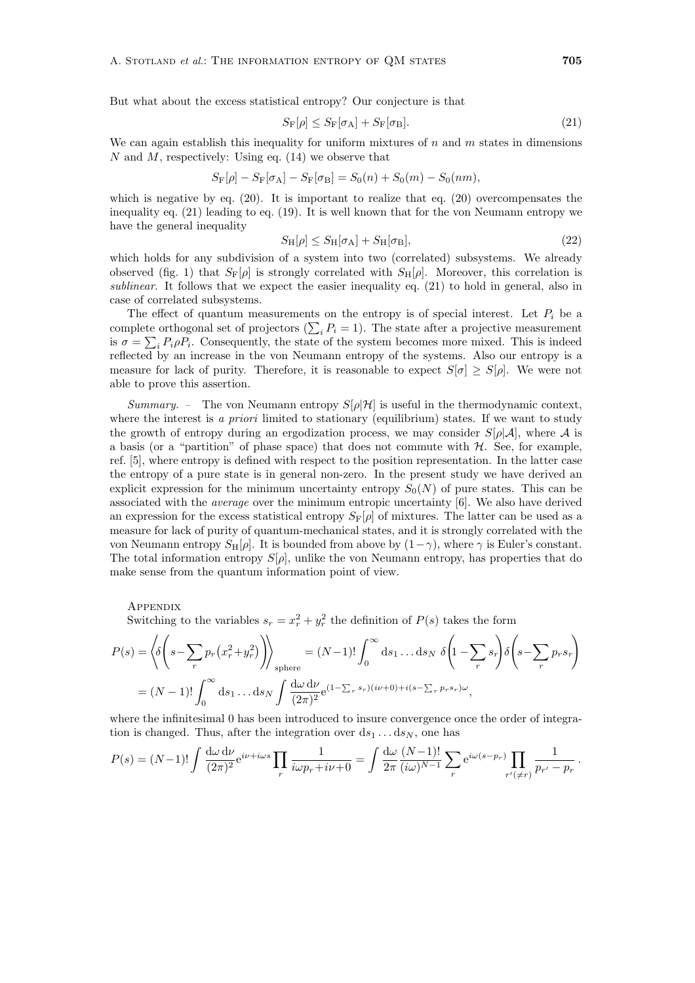But what about the excess statistical entropy? Our conjecture is that

$$
S_{\mathcal{F}}[\rho] \le S_{\mathcal{F}}[\sigma_{\mathcal{A}}] + S_{\mathcal{F}}[\sigma_{\mathcal{B}}].
$$
\n(21)

We can again establish this inequality for uniform mixtures of  $n$  and  $m$  states in dimensions N and M, respectively: Using eq.  $(14)$  we observe that

$$
S_{\text{F}}[\rho] - S_{\text{F}}[\sigma_{\text{A}}] - S_{\text{F}}[\sigma_{\text{B}}] = S_0(n) + S_0(m) - S_0(nm),
$$

which is negative by eq.  $(20)$ . It is important to realize that eq.  $(20)$  overcompensates the inequality eq. (21) leading to eq. (19). It is well known that for the von Neumann entropy we have the general inequality

$$
S_{\mathrm{H}}[\rho] \le S_{\mathrm{H}}[\sigma_{\mathrm{A}}] + S_{\mathrm{H}}[\sigma_{\mathrm{B}}],\tag{22}
$$

 $S_{\rm H}[\rho] \leq S_{\rm H}[\sigma_{\rm A}] + S_{\rm H}[\sigma_{\rm B}],$  (22)<br>which holds for any subdivision of a system into two (correlated) subsystems. We already observed (fig. 1) that  $S_{\rm F}[\rho]$  is strongly correlated with  $S_{\rm H}[\rho]$ . Moreover, this correlation is *sublinear*. It follows that we expect the easier inequality eq. (21) to hold in general, also in case of correlated subsystems.

The effect of quantum measurements on the entropy is of special interest. Let  $P_i$  be a complete orthogonal set of projectors  $(\sum_i P_i = 1)$ . The state after a projective measurement<br>is  $\sigma = \sum_i P_i \circ P_i$ . Consequently, the state of the system becomes more mixed. This is indeed is  $\sigma = \sum_i P_i \rho P_i$ . Consequently, the state of the system becomes more mixed. This is indeed reflected by an increase in the von Neumann entropy of the systems. Also our entropy is a reflected by an increase in the von Neumann entropy of the systems. Also our entropy is a measure for lack of purity. Therefore, it is reasonable to expect  $S[\sigma] \geq S[\rho]$ . We were not able to prove this assertion.

*Summary.* – The von Neumann entropy  $S[\rho|\mathcal{H}]$  is useful in the thermodynamic context, where the interest is *a priori* limited to stationary (equilibrium) states. If we want to study the growth of entropy during an ergodization process, we may consider  $S[\rho|\mathcal{A}]$ , where  $\mathcal{A}$  is a basis (or a "partition" of phase space) that does not commute with  $H$ . See, for example, ref. [5], where entropy is defined with respect to the position representation. In the latter case the entropy of a pure state is in general non-zero. In the present study we have derived an explicit expression for the minimum uncertainty entropy  $S_0(N)$  of pure states. This can be associated with the *average* over the minimum entropic uncertainty [6]. We also have derived an expression for the excess statistical entropy  $S_F[\rho]$  of mixtures. The latter can be used as a measure for lack of purity of quantum-mechanical states, and it is strongly correlated with the von Neumann entropy  $S_H[\rho]$ . It is bounded from above by  $(1-\gamma)$ , where  $\gamma$  is Euler's constant. The total information entropy  $S[\rho]$ , unlike the von Neumann entropy, has properties that do make sense from the quantum information point of view.

**APPENDIX** 

Switching to the variables  $s_r = x_r^2 + y_r^2$  the definition of  $P(s)$  takes the form

$$
P(s) = \left\langle \delta \left( s - \sum_{r} p_r \left( x_r^2 + y_r^2 \right) \right) \right\rangle_{\text{sphere}} = (N-1)! \int_0^\infty ds_1 \dots ds_N \ \delta \left( 1 - \sum_{r} s_r \right) \delta \left( s - \sum_{r} p_r s_r \right)
$$

$$
= (N-1)! \int_0^\infty ds_1 \dots ds_N \int \frac{d\omega \, d\nu}{(2\pi)^2} e^{(1 - \sum_{r} s_r)(i\nu + 0) + i(s - \sum_{r} p_r s_r) \omega},
$$

where the infinitesimal 0 has been introduced to insure convergence once the order of integration is changed. Thus, after the integration over  $ds_1 \dots ds_N$ , one has

$$
P(s) = (N-1)! \int \frac{d\omega \, d\nu}{(2\pi)^2} e^{i\nu + i\omega s} \prod_r \frac{1}{i\omega p_r + i\nu + 0} = \int \frac{d\omega}{2\pi} \frac{(N-1)!}{(i\omega)^{N-1}} \sum_r e^{i\omega(s-p_r)} \prod_{r'(\neq r)} \frac{1}{p_{r'} - p_r}.
$$